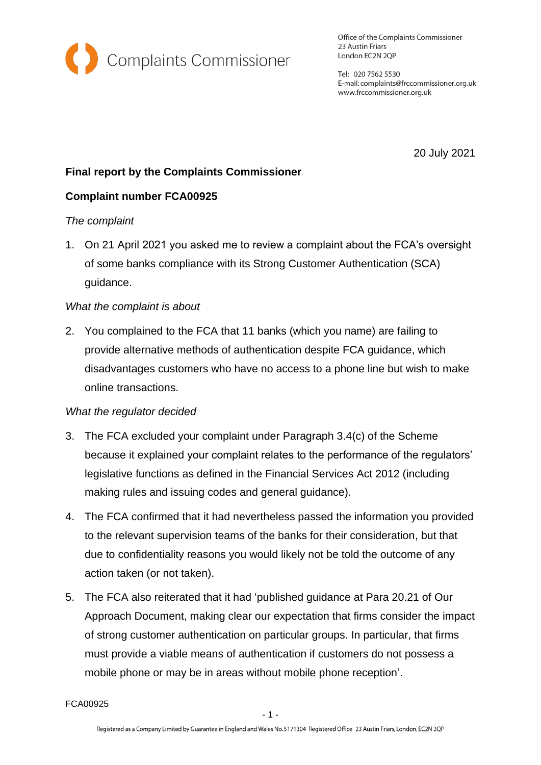

Office of the Complaints Commissioner 23 Austin Friars London EC2N 2QP

Tel: 020 7562 5530 E-mail: complaints@frccommissioner.org.uk www.frccommissioner.org.uk

20 July 2021

# **Final report by the Complaints Commissioner**

## **Complaint number FCA00925**

#### *The complaint*

1. On 21 April 2021 you asked me to review a complaint about the FCA's oversight of some banks compliance with its Strong Customer Authentication (SCA) guidance.

#### *What the complaint is about*

2. You complained to the FCA that 11 banks (which you name) are failing to provide alternative methods of authentication despite FCA guidance, which disadvantages customers who have no access to a phone line but wish to make online transactions.

## *What the regulator decided*

- 3. The FCA excluded your complaint under Paragraph 3.4(c) of the Scheme because it explained your complaint relates to the performance of the regulators' legislative functions as defined in the Financial Services Act 2012 (including making rules and issuing codes and general guidance).
- 4. The FCA confirmed that it had nevertheless passed the information you provided to the relevant supervision teams of the banks for their consideration, but that due to confidentiality reasons you would likely not be told the outcome of any action taken (or not taken).
- 5. The FCA also reiterated that it had 'published guidance at Para 20.21 of Our Approach Document, making clear our expectation that firms consider the impact of strong customer authentication on particular groups. In particular, that firms must provide a viable means of authentication if customers do not possess a mobile phone or may be in areas without mobile phone reception'.

FCA00925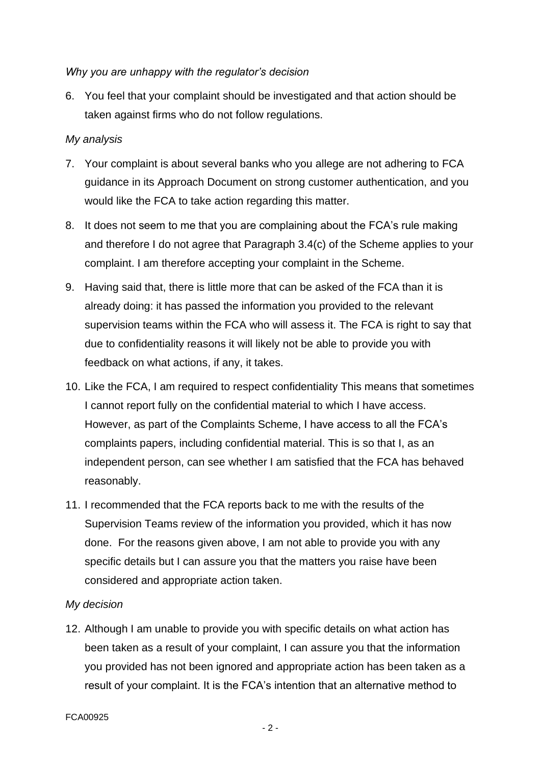#### *Why you are unhappy with the regulator's decision*

6. You feel that your complaint should be investigated and that action should be taken against firms who do not follow regulations.

### *My analysis*

- 7. Your complaint is about several banks who you allege are not adhering to FCA guidance in its Approach Document on strong customer authentication, and you would like the FCA to take action regarding this matter.
- 8. It does not seem to me that you are complaining about the FCA's rule making and therefore I do not agree that Paragraph 3.4(c) of the Scheme applies to your complaint. I am therefore accepting your complaint in the Scheme.
- 9. Having said that, there is little more that can be asked of the FCA than it is already doing: it has passed the information you provided to the relevant supervision teams within the FCA who will assess it. The FCA is right to say that due to confidentiality reasons it will likely not be able to provide you with feedback on what actions, if any, it takes.
- 10. Like the FCA, I am required to respect confidentiality This means that sometimes I cannot report fully on the confidential material to which I have access. However, as part of the Complaints Scheme, I have access to all the FCA's complaints papers, including confidential material. This is so that I, as an independent person, can see whether I am satisfied that the FCA has behaved reasonably.
- 11. I recommended that the FCA reports back to me with the results of the Supervision Teams review of the information you provided, which it has now done. For the reasons given above, I am not able to provide you with any specific details but I can assure you that the matters you raise have been considered and appropriate action taken.

## *My decision*

12. Although I am unable to provide you with specific details on what action has been taken as a result of your complaint, I can assure you that the information you provided has not been ignored and appropriate action has been taken as a result of your complaint. It is the FCA's intention that an alternative method to

#### FCA00925